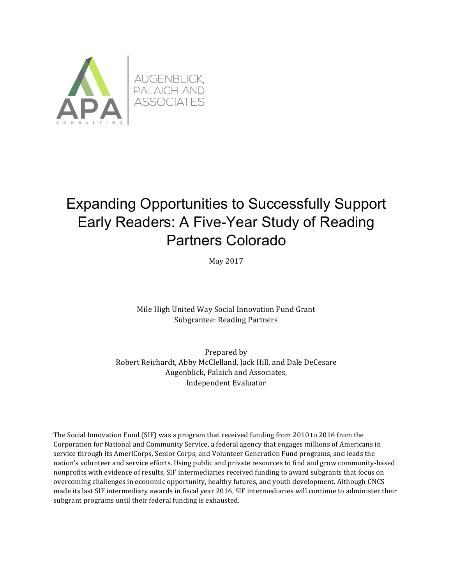

# Expanding Opportunities to Successfully Support Early Readers: A Five-Year Study of Reading Partners Colorado

May 2017

Mile High United Way Social Innovation Fund Grant Subgrantee: Reading Partners

Prepared by Robert Reichardt, Abby McClelland, Jack Hill, and Dale DeCesare Augenblick, Palaich and Associates, Independent Evaluator

The Social Innovation Fund  $(SIF)$  was a program that received funding from 2010 to 2016 from the Corporation for National and Community Service, a federal agency that engages millions of Americans in service through its AmeriCorps, Senior Corps, and Volunteer Generation Fund programs, and leads the nation's volunteer and service efforts. Using public and private resources to find and grow community-based nonprofits with evidence of results, SIF intermediaries received funding to award subgrants that focus on overcoming challenges in economic opportunity, healthy futures, and youth development. Although CNCS made its last SIF intermediary awards in fiscal year 2016, SIF intermediaries will continue to administer their subgrant programs until their federal funding is exhausted.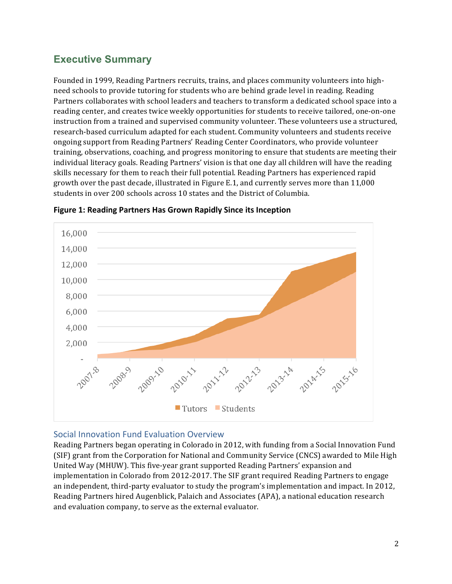# **Executive Summary**

Founded in 1999, Reading Partners recruits, trains, and places community volunteers into highneed schools to provide tutoring for students who are behind grade level in reading. Reading Partners collaborates with school leaders and teachers to transform a dedicated school space into a reading center, and creates twice weekly opportunities for students to receive tailored, one-on-one instruction from a trained and supervised community volunteer. These volunteers use a structured, research-based curriculum adapted for each student. Community volunteers and students receive ongoing support from Reading Partners' Reading Center Coordinators, who provide volunteer training, observations, coaching, and progress monitoring to ensure that students are meeting their individual literacy goals. Reading Partners' vision is that one day all children will have the reading skills necessary for them to reach their full potential. Reading Partners has experienced rapid growth over the past decade, illustrated in Figure E.1, and currently serves more than 11,000 students in over 200 schools across 10 states and the District of Columbia.





#### Social Innovation Fund Evaluation Overview

Reading Partners began operating in Colorado in 2012, with funding from a Social Innovation Fund (SIF) grant from the Corporation for National and Community Service (CNCS) awarded to Mile High United Way (MHUW). This five-year grant supported Reading Partners' expansion and implementation in Colorado from 2012-2017. The SIF grant required Reading Partners to engage an independent, third-party evaluator to study the program's implementation and impact. In 2012, Reading Partners hired Augenblick, Palaich and Associates (APA), a national education research and evaluation company, to serve as the external evaluator.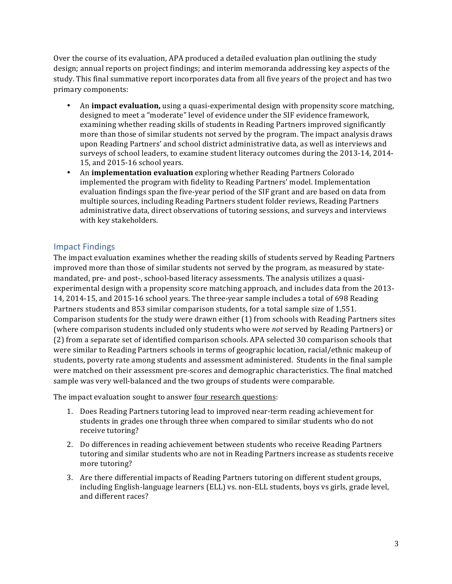Over the course of its evaluation, APA produced a detailed evaluation plan outlining the study design; annual reports on project findings; and interim memoranda addressing key aspects of the study. This final summative report incorporates data from all five years of the project and has two primary components:

- An **impact evaluation**, using a quasi-experimental design with propensity score matching, designed to meet a "moderate" level of evidence under the SIF evidence framework, examining whether reading skills of students in Reading Partners improved significantly more than those of similar students not served by the program. The impact analysis draws upon Reading Partners' and school district administrative data, as well as interviews and surveys of school leaders, to examine student literacy outcomes during the 2013-14, 2014-15, and 2015-16 school years.
- An **implementation evaluation** exploring whether Reading Partners Colorado implemented the program with fidelity to Reading Partners' model. Implementation evaluation findings span the five-year period of the SIF grant and are based on data from multiple sources, including Reading Partners student folder reviews, Reading Partners administrative data, direct observations of tutoring sessions, and surveys and interviews with key stakeholders.

# Impact Findings

The impact evaluation examines whether the reading skills of students served by Reading Partners improved more than those of similar students not served by the program, as measured by statemandated, pre- and post-, school-based literacy assessments. The analysis utilizes a quasiexperimental design with a propensity score matching approach, and includes data from the 2013-14, 2014-15, and 2015-16 school years. The three-year sample includes a total of 698 Reading Partners students and 853 similar comparison students, for a total sample size of 1,551. Comparison students for the study were drawn either  $(1)$  from schools with Reading Partners sites (where comparison students included only students who were *not* served by Reading Partners) or (2) from a separate set of identified comparison schools. APA selected 30 comparison schools that were similar to Reading Partners schools in terms of geographic location, racial/ethnic makeup of students, poverty rate among students and assessment administered. Students in the final sample were matched on their assessment pre-scores and demographic characteristics. The final matched sample was very well-balanced and the two groups of students were comparable.

The impact evaluation sought to answer four research questions:

- 1. Does Reading Partners tutoring lead to improved near-term reading achievement for students in grades one through three when compared to similar students who do not receive tutoring?
- 2. Do differences in reading achievement between students who receive Reading Partners tutoring and similar students who are not in Reading Partners increase as students receive more tutoring?
- 3. Are there differential impacts of Reading Partners tutoring on different student groups, including English-language learners (ELL) vs. non-ELL students, boys vs girls, grade level, and different races?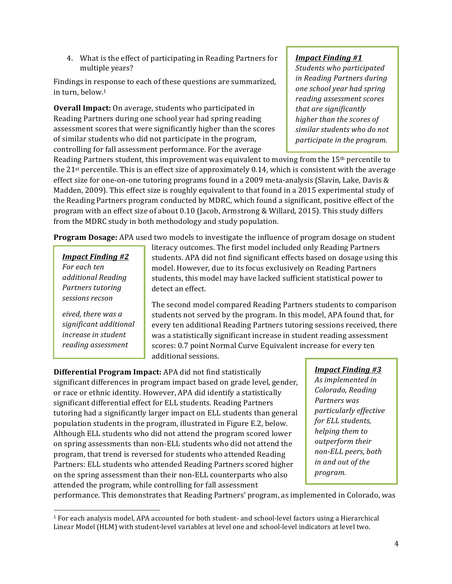4. What is the effect of participating in Reading Partners for multiple years?

Findings in response to each of these questions are summarized, in turn, below. $1$ 

**Overall Impact:** On average, students who participated in Reading Partners during one school year had spring reading assessment scores that were significantly higher than the scores of similar students who did not participate in the program, controlling for fall assessment performance. For the average

#### *Impact Finding #1*

*Students who participated in Reading Partners during one school year had spring reading assessment scores*  that are significantly *higher than the scores of similar students who do not participate in the program.* 

Reading Partners student, this improvement was equivalent to moving from the  $15<sup>th</sup>$  percentile to the  $21$ <sup>st</sup> percentile. This is an effect size of approximately 0.14, which is consistent with the average effect size for one-on-one tutoring programs found in a 2009 meta-analysis (Slavin, Lake, Davis  $\&$ Madden, 2009). This effect size is roughly equivalent to that found in a 2015 experimental study of the Reading Partners program conducted by MDRC, which found a significant, positive effect of the program with an effect size of about 0.10 (Jacob, Armstrong & Willard, 2015). This study differs from the MDRC study in both methodology and study population.

**Program Dosage:** APA used two models to investigate the influence of program dosage on student

*Impact Finding #2 For each ten additional Reading*  **Partners** tutoring *sessions recson*

eived, there was a *significant additional increase in student reading assessment* 

*scores.*

<u> 1989 - Johann Stein, marwolaethau a bh</u>

literacy outcomes. The first model included only Reading Partners students. APA did not find significant effects based on dosage using this model. However, due to its focus exclusively on Reading Partners students, this model may have lacked sufficient statistical power to detect an effect.

The second model compared Reading Partners students to comparison students not served by the program. In this model, APA found that, for every ten additional Reading Partners tutoring sessions received, there was a statistically significant increase in student reading assessment scores: 0.7 point Normal Curve Equivalent increase for every ten additional sessions.

**Differential Program Impact:** APA did not find statistically significant differences in program impact based on grade level, gender, or race or ethnic identity. However, APA did identify a statistically significant differential effect for ELL students. Reading Partners tutoring had a significantly larger impact on ELL students than general population students in the program, illustrated in Figure E.2, below. Although ELL students who did not attend the program scored lower on spring assessments than non-ELL students who did not attend the program, that trend is reversed for students who attended Reading Partners: ELL students who attended Reading Partners scored higher on the spring assessment than their non-ELL counterparts who also attended the program, while controlling for fall assessment

*Impact Finding #3*

As *implemented* in *Colorado, Reading Partners was particularly effective for ELL students, helping them to outperform their non-ELL peers, both in and out of the program.*

performance. This demonstrates that Reading Partners' program, as implemented in Colorado, was

<sup>&</sup>lt;sup>1</sup> For each analysis model, APA accounted for both student- and school-level factors using a Hierarchical Linear Model (HLM) with student-level variables at level one and school-level indicators at level two.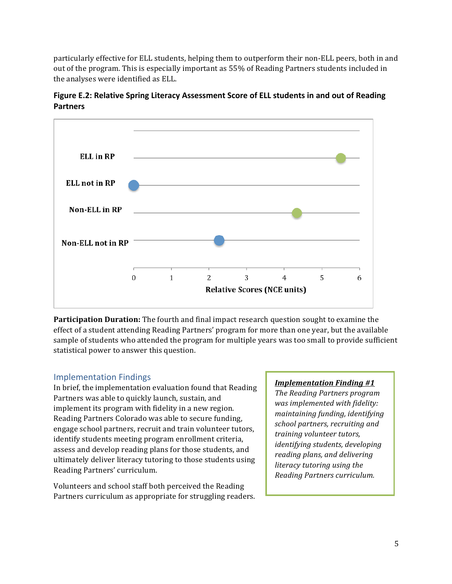particularly effective for ELL students, helping them to outperform their non-ELL peers, both in and out of the program. This is especially important as 55% of Reading Partners students included in the analyses were identified as ELL.



**Figure E.2: Relative Spring Literacy Assessment Score of ELL students in and out of Reading Partners**

**Participation Duration:** The fourth and final impact research question sought to examine the effect of a student attending Reading Partners' program for more than one year, but the available sample of students who attended the program for multiple years was too small to provide sufficient statistical power to answer this question.

# Implementation Findings

In brief, the implementation evaluation found that Reading Partners was able to quickly launch, sustain, and implement its program with fidelity in a new region. Reading Partners Colorado was able to secure funding, engage school partners, recruit and train volunteer tutors, identify students meeting program enrollment criteria, assess and develop reading plans for those students, and ultimately deliver literacy tutoring to those students using Reading Partners' curriculum.

Volunteers and school staff both perceived the Reading Partners curriculum as appropriate for struggling readers.

#### *Implementation Finding #1*

*The Reading Partners program* was implemented with fidelity: *maintaining funding, identifying school partners, recruiting and training volunteer tutors, identifying students, developing reading plans, and delivering literacy* tutoring using the *Reading Partners curriculum.*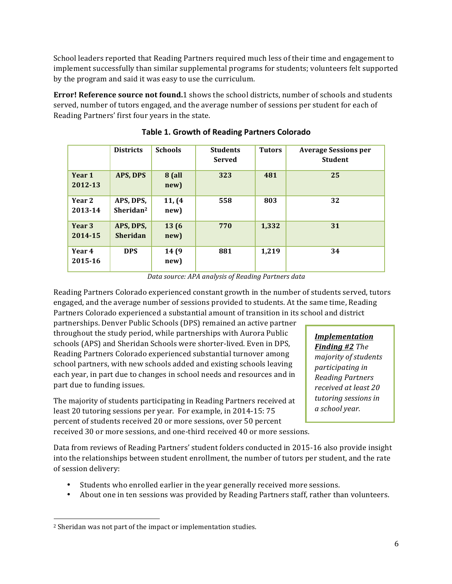School leaders reported that Reading Partners required much less of their time and engagement to implement successfully than similar supplemental programs for students; volunteers felt supported by the program and said it was easy to use the curriculum.

**Error! Reference source not found.**1 shows the school districts, number of schools and students served, number of tutors engaged, and the average number of sessions per student for each of Reading Partners' first four years in the state.

|                   | <b>Districts</b>                   | <b>Schools</b>        | <b>Students</b><br><b>Served</b> | <b>Tutors</b> | <b>Average Sessions per</b><br><b>Student</b> |
|-------------------|------------------------------------|-----------------------|----------------------------------|---------------|-----------------------------------------------|
| Year 1<br>2012-13 | APS, DPS                           | <b>8</b> (all<br>new) | 323                              | 481           | 25                                            |
| Year 2<br>2013-14 | APS, DPS,<br>Sheridan <sup>2</sup> | 11, (4)<br>new)       | 558                              | 803           | 32                                            |
| Year 3<br>2014-15 | APS, DPS,<br><b>Sheridan</b>       | 13(6)<br>new)         | 770                              | 1,332         | 31                                            |
| Year 4<br>2015-16 | <b>DPS</b>                         | 14 (9<br>new)         | 881                              | 1,219         | 34                                            |

**Table 1. Growth of Reading Partners Colorado** 

*Data source: APA analysis of Reading Partners data*

Reading Partners Colorado experienced constant growth in the number of students served, tutors engaged, and the average number of sessions provided to students. At the same time, Reading Partners Colorado experienced a substantial amount of transition in its school and district

partnerships. Denver Public Schools (DPS) remained an active partner throughout the study period, while partnerships with Aurora Public schools (APS) and Sheridan Schools were shorter-lived. Even in DPS, Reading Partners Colorado experienced substantial turnover among school partners, with new schools added and existing schools leaving each year, in part due to changes in school needs and resources and in part due to funding issues.

The majority of students participating in Reading Partners received at least 20 tutoring sessions per year. For example, in 2014-15: 75 percent of students received 20 or more sessions, over 50 percent received 30 or more sessions, and one-third received 40 or more sessions.

*Implementation* **Finding #2** *The majority of students participating in Reading Partners received at least 20 tutoring sessions in a school year.*

Data from reviews of Reading Partners' student folders conducted in 2015-16 also provide insight into the relationships between student enrollment, the number of tutors per student, and the rate of session delivery:

- Students who enrolled earlier in the year generally received more sessions.
- About one in ten sessions was provided by Reading Partners staff, rather than volunteers.

 

<sup>&</sup>lt;sup>2</sup> Sheridan was not part of the impact or implementation studies.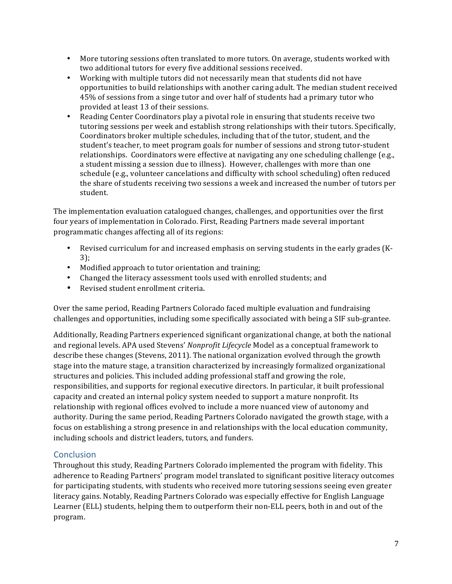- More tutoring sessions often translated to more tutors. On average, students worked with two additional tutors for every five additional sessions received.
- Working with multiple tutors did not necessarily mean that students did not have opportunities to build relationships with another caring adult. The median student received 45% of sessions from a singe tutor and over half of students had a primary tutor who provided at least 13 of their sessions.
- Reading Center Coordinators play a pivotal role in ensuring that students receive two tutoring sessions per week and establish strong relationships with their tutors. Specifically, Coordinators broker multiple schedules, including that of the tutor, student, and the student's teacher, to meet program goals for number of sessions and strong tutor-student relationships. Coordinators were effective at navigating any one scheduling challenge (e.g., a student missing a session due to illness). However, challenges with more than one schedule (e.g., volunteer cancelations and difficulty with school scheduling) often reduced the share of students receiving two sessions a week and increased the number of tutors per student.

The implementation evaluation catalogued changes, challenges, and opportunities over the first four years of implementation in Colorado. First, Reading Partners made several important programmatic changes affecting all of its regions:

- Revised curriculum for and increased emphasis on serving students in the early grades (K-3);
- Modified approach to tutor orientation and training;
- Changed the literacy assessment tools used with enrolled students; and
- Revised student enrollment criteria.

Over the same period, Reading Partners Colorado faced multiple evaluation and fundraising challenges and opportunities, including some specifically associated with being a SIF sub-grantee.

Additionally, Reading Partners experienced significant organizational change, at both the national and regional levels. APA used Stevens' *Nonprofit Lifecycle* Model as a conceptual framework to describe these changes (Stevens, 2011). The national organization evolved through the growth stage into the mature stage, a transition characterized by increasingly formalized organizational structures and policies. This included adding professional staff and growing the role, responsibilities, and supports for regional executive directors. In particular, it built professional capacity and created an internal policy system needed to support a mature nonprofit. Its relationship with regional offices evolved to include a more nuanced view of autonomy and authority. During the same period, Reading Partners Colorado navigated the growth stage, with a focus on establishing a strong presence in and relationships with the local education community, including schools and district leaders, tutors, and funders.

# **Conclusion**

Throughout this study, Reading Partners Colorado implemented the program with fidelity. This adherence to Reading Partners' program model translated to significant positive literacy outcomes for participating students, with students who received more tutoring sessions seeing even greater literacy gains. Notably, Reading Partners Colorado was especially effective for English Language Learner (ELL) students, helping them to outperform their non-ELL peers, both in and out of the program.